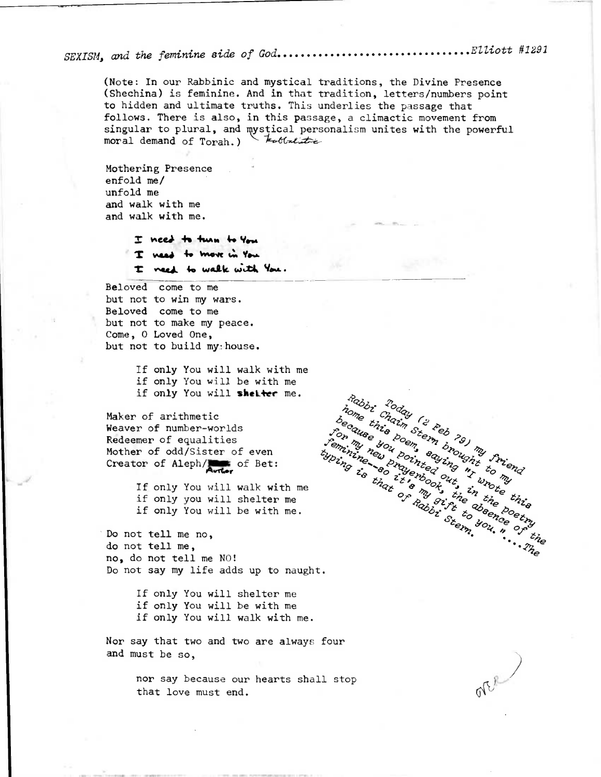$\ldots \ldots \ldots$ Elliott #1291 SEXISM, and the feminine side of God........

(Note: In our Rabbinic and mystical traditions, the Divine Presence (Shechina) is feminine. And in that tradition, letters/numbers point to hidden and ultimate truths. This underlies the passage that follows. There is also, in this passage, a climactic movement from singular to plural, and mystical personalism unites with the powerful<br>moral demand of Torah.) Lettral moral demand of Torah.)

Mothering Presence enfold me/ unfold me and walk with me and walk with me.

> I need to turn to You I weed to move in You I need to walk with You.

Beloved come to me but not to win my wars. Beloved come to me but not to make my peace. Come, O Loved One, but not to build my house.

> If only You will walk with me if only You will be with me if only You will shelter me.

Maker of arithmetic Weaver of number-worlds Redeemer of equalities Mother of odd/Sister of even Creator of Aleph/

> If only You will walk with me if only you will shelter me if only You will be with me.

Do not tell me no, do not tell me, no, do not tell me NO! Do not say my life adds up to naught.

> If only You will shelter me if only You will be with me if only You will walk with me.

Nor say that two and two are always four and must be so.

> nor say because our hearts shall stop that love must end.